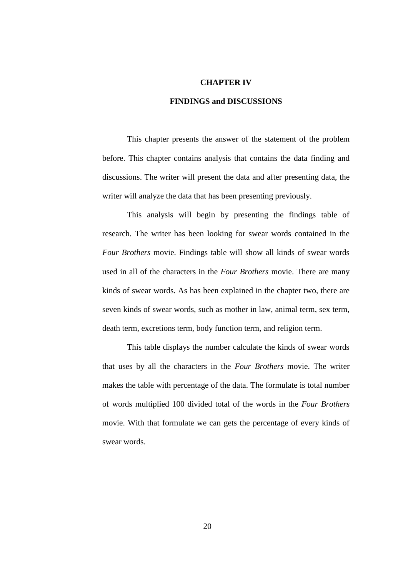#### **CHAPTER IV**

### **FINDINGS and DISCUSSIONS**

This chapter presents the answer of the statement of the problem before. This chapter contains analysis that contains the data finding and discussions. The writer will present the data and after presenting data, the writer will analyze the data that has been presenting previously.

This analysis will begin by presenting the findings table of research. The writer has been looking for swear words contained in the *Four Brothers* movie. Findings table will show all kinds of swear words used in all of the characters in the *Four Brothers* movie. There are many kinds of swear words. As has been explained in the chapter two, there are seven kinds of swear words, such as mother in law, animal term, sex term, death term, excretions term, body function term, and religion term.

This table displays the number calculate the kinds of swear words that uses by all the characters in the *Four Brothers* movie. The writer makes the table with percentage of the data. The formulate is total number of words multiplied 100 divided total of the words in the *Four Brothers*  movie. With that formulate we can gets the percentage of every kinds of swear words.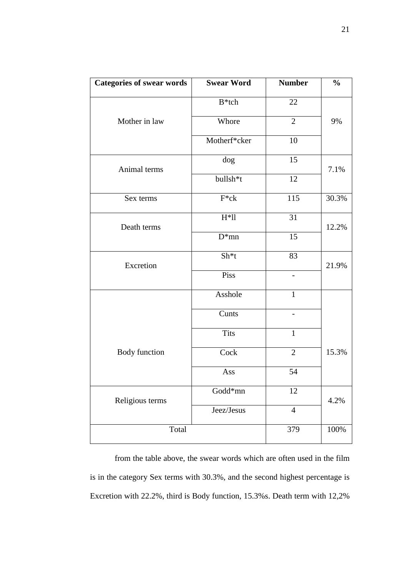| Categories of swear words | <b>Swear Word</b>    | <b>Number</b>   | $\frac{0}{0}$ |
|---------------------------|----------------------|-----------------|---------------|
|                           | $B*$ tch             | 22              |               |
| Mother in law             | Whore                | $\overline{2}$  | 9%            |
|                           | Motherf*cker         | 10              |               |
| Animal terms              | dog                  | 15              | 7.1%          |
|                           | bullsh <sup>*t</sup> | 12              |               |
| Sex terms                 | $F^*ck$              | 115             | 30.3%         |
| Death terms               | $H*ll$               | 31              | 12.2%         |
|                           | $D*mn$               | $\overline{15}$ |               |
| Excretion                 | Sh <sup>*</sup> t    | 83              | 21.9%         |
|                           | Piss                 |                 |               |
|                           | Asshole              | $\mathbf{1}$    |               |
|                           | Cunts                |                 |               |
|                           | <b>Tits</b>          | $\mathbf{1}$    |               |
| Body function             | Cock                 | $\overline{2}$  | 15.3%         |
|                           | Ass                  | 54              |               |
| Religious terms           | Godd*mn              | 12              | 4.2%          |
|                           | Jeez/Jesus           | $\overline{4}$  |               |
| Total                     |                      | 379             | $100\%$       |

from the table above, the swear words which are often used in the film is in the category Sex terms with 30.3%, and the second highest percentage is Excretion with 22.2%, third is Body function, 15.3%s. Death term with 12,2%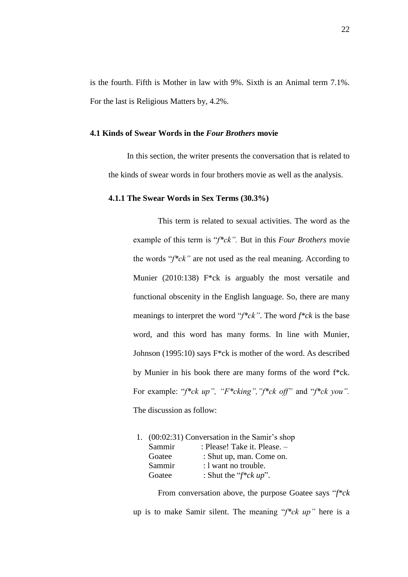is the fourth. Fifth is Mother in law with 9%. Sixth is an Animal term 7.1%. For the last is Religious Matters by, 4.2%.

# **4.1 Kinds of Swear Words in the** *Four Brothers* **movie**

In this section, the writer presents the conversation that is related to the kinds of swear words in four brothers movie as well as the analysis.

#### **4.1.1 The Swear Words in Sex Terms (30.3%)**

This term is related to sexual activities. The word as the example of this term is "*f\*ck".* But in this *Four Brothers* movie the words "*f\*ck"* are not used as the real meaning. According to Munier (2010:138) F\*ck is arguably the most versatile and functional obscenity in the English language. So, there are many meanings to interpret the word "*f\*ck"*. The word *f\*ck* is the base word, and this word has many forms. In line with Munier, Johnson (1995:10) says F\*ck is mother of the word. As described by Munier in his book there are many forms of the word f\*ck. For example: "*f\*ck up", "F\*cking","f\*ck off"* and "*f\*ck you".* The discussion as follow:

|        | 1. (00:02:31) Conversation in the Samir's shop |
|--------|------------------------------------------------|
| Sammir | : Please! Take it. Please. -                   |
| Goatee | : Shut up, man. Come on.                       |
| Sammir | : I want no trouble.                           |
| Goatee | : Shut the " $f * c k up$ ".                   |
|        |                                                |

From conversation above, the purpose Goatee says "*f\*ck* up is to make Samir silent. The meaning "*f\*ck up"* here is a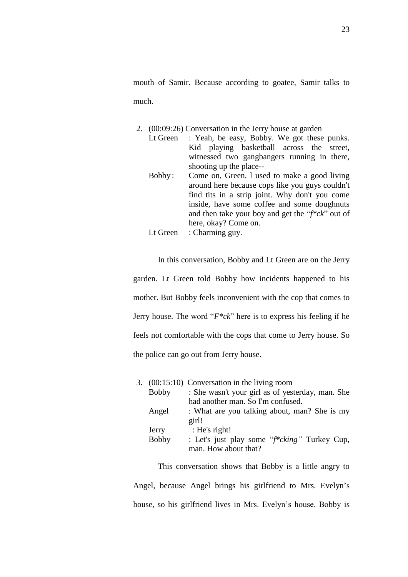mouth of Samir. Because according to goatee, Samir talks to much.

- 2. (00:09:26) Conversation in the Jerry house at garden
	- Lt Green : Yeah, be easy, Bobby. We got these punks. Kid playing basketball across the street, witnessed two gangbangers running in there, shooting up the place-- Bobby : Come on, Green. l used to make a good living
	- around here because cops like you guys couldn't find tits in a strip joint. Why don't you come inside, have some coffee and some doughnuts and then take your boy and get the "*f\*ck*" out of here, okay? Come on.
	- Lt Green : Charming guy.

In this conversation, Bobby and Lt Green are on the Jerry garden. Lt Green told Bobby how incidents happened to his mother. But Bobby feels inconvenient with the cop that comes to Jerry house. The word "*F\*ck*" here is to express his feeling if he feels not comfortable with the cops that come to Jerry house. So the police can go out from Jerry house.

|              | 3. $(00:15:10)$ Conversation in the living room  |  |
|--------------|--------------------------------------------------|--|
| <b>Bobby</b> | : She wasn't your girl as of yesterday, man. She |  |
|              | had another man. So I'm confused.                |  |
| Angel        | : What are you talking about, man? She is my     |  |
|              | girl!                                            |  |
| Jerry        | : He's right!                                    |  |
| <b>Bobby</b> | : Let's just play some "f*cking" Turkey Cup,     |  |
|              | man. How about that?                             |  |

This conversation shows that Bobby is a little angry to Angel, because Angel brings his girlfriend to Mrs. Evelyn's house, so his girlfriend lives in Mrs. Evelyn's house. Bobby is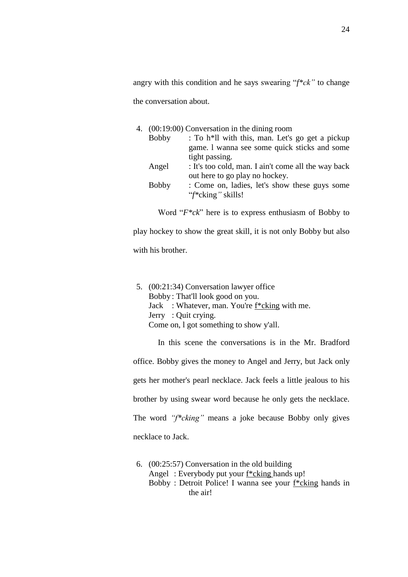angry with this condition and he says swearing "*f\*ck"* to change the conversation about.

|              | 4. (00:19:00) Conversation in the dining room                |
|--------------|--------------------------------------------------------------|
| Bobby        | : To h <sup>*</sup> ll with this, man. Let's go get a pickup |
|              | game. I wanna see some quick sticks and some                 |
|              | tight passing.                                               |
| Angel        | : It's too cold, man. I ain't come all the way back          |
|              | out here to go play no hockey.                               |
| <b>Bobby</b> | : Come on, ladies, let's show these guys some                |
|              | "f*cking" skills!                                            |
|              |                                                              |

Word "*F\*ck*" here is to express enthusiasm of Bobby to

play hockey to show the great skill, it is not only Bobby but also with his brother.

5. (00:21:34) Conversation lawyer office Bobby : That'll look good on you. Jack : Whatever, man. You're f\*cking with me. Jerry : Quit crying. Come on, l got something to show y'all.

In this scene the conversations is in the Mr. Bradford office. Bobby gives the money to Angel and Jerry, but Jack only gets her mother's pearl necklace. Jack feels a little jealous to his brother by using swear word because he only gets the necklace. The word *"f\*cking"* means a joke because Bobby only gives necklace to Jack.

6. (00:25:57) Conversation in the old building Angel : Everybody put your f\*cking hands up! Bobby : Detroit Police! I wanna see your f\*cking hands in the air!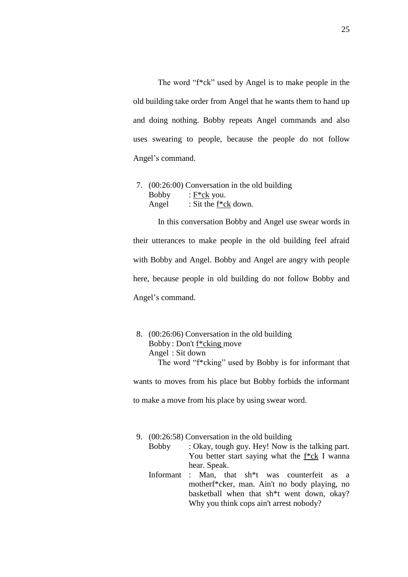The word "f\*ck" used by Angel is to make people in the old building take order from Angel that he wants them to hand up and doing nothing. Bobby repeats Angel commands and also uses swearing to people, because the people do not follow Angel's command.

7. (00:26:00) Conversation in the old building Bobby : F\*ck you. Angel : Sit the f<sup>\*</sup>ck down.

In this conversation Bobby and Angel use swear words in their utterances to make people in the old building feel afraid with Bobby and Angel. Bobby and Angel are angry with people here, because people in old building do not follow Bobby and Angel's command.

8. (00:26:06) Conversation in the old building Bobby : Don't f\*cking move Angel : Sit down The word "f\*cking" used by Bobby is for informant that

wants to moves from his place but Bobby forbids the informant to make a move from his place by using swear word.

- 9. (00:26:58) Conversation in the old building
	- Bobby : Okay, tough guy. Hey! Now is the talking part. You better start saying what the f<sup>\*</sup>ck I wanna hear. Speak.
	- Informant : Man, that sh\*t was counterfeit as a motherf\*cker, man. Ain't no body playing, no basketball when that sh\*t went down, okay? Why you think cops ain't arrest nobody?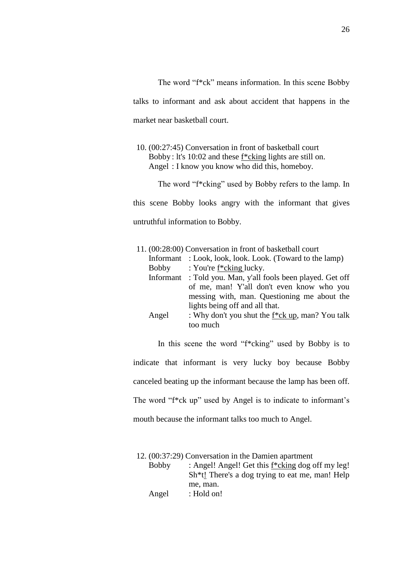The word "f\*ck" means information. In this scene Bobby talks to informant and ask about accident that happens in the market near basketball court.

10. (00:27:45) Conversation in front of basketball court Bobby : lt's 10:02 and these  $f * c$ king lights are still on. Angel : I know you know who did this, homeboy.

The word "f\*cking" used by Bobby refers to the lamp. In this scene Bobby looks angry with the informant that gives untruthful information to Bobby.

|       | 11. (00:28:00) Conversation in front of basketball court     |
|-------|--------------------------------------------------------------|
|       | Informant: Look, look, look. Look. (Toward to the lamp)      |
| Bobby | : You're f*cking lucky.                                      |
|       | Informant: Told you. Man, y'all fools been played. Get off   |
|       | of me, man! Y'all don't even know who you                    |
|       | messing with, man. Questioning me about the                  |
|       | lights being off and all that.                               |
| Angel | : Why don't you shut the f <sup>*</sup> ck up, man? You talk |
|       | too much                                                     |

In this scene the word "f\*cking" used by Bobby is to indicate that informant is very lucky boy because Bobby canceled beating up the informant because the lamp has been off. The word "f\*ck up" used by Angel is to indicate to informant's mouth because the informant talks too much to Angel.

|              | 12. (00:37:29) Conversation in the Damien apartment           |
|--------------|---------------------------------------------------------------|
| <b>Bobby</b> | : Angel! Angel! Get this f*cking dog off my leg!              |
|              | Sh <sup>**</sup> t! There's a dog trying to eat me, man! Help |
|              | me, man.                                                      |
| Angel        | : Hold on!                                                    |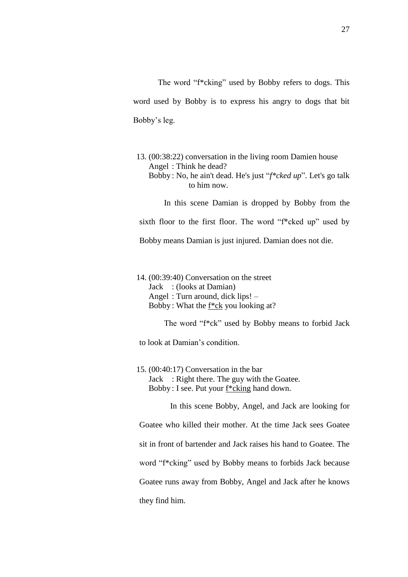The word "f\*cking" used by Bobby refers to dogs. This word used by Bobby is to express his angry to dogs that bit Bobby's leg.

13. (00:38:22) conversation in the living room Damien house Angel : Think he dead? Bobby : No, he ain't dead. He's just "*f\*cked up*". Let's go talk to him now.

In this scene Damian is dropped by Bobby from the

sixth floor to the first floor. The word "f\*cked up" used by

Bobby means Damian is just injured. Damian does not die.

14. (00:39:40) Conversation on the street Jack : (looks at Damian) Angel : Turn around, dick lips! – Bobby : What the f\*ck you looking at?

The word "f\*ck" used by Bobby means to forbid Jack

to look at Damian's condition.

15. (00:40:17) Conversation in the bar Jack : Right there. The guy with the Goatee. Bobby : I see. Put your f\*cking hand down.

In this scene Bobby, Angel, and Jack are looking for Goatee who killed their mother. At the time Jack sees Goatee sit in front of bartender and Jack raises his hand to Goatee. The word "f\*cking" used by Bobby means to forbids Jack because Goatee runs away from Bobby, Angel and Jack after he knows they find him.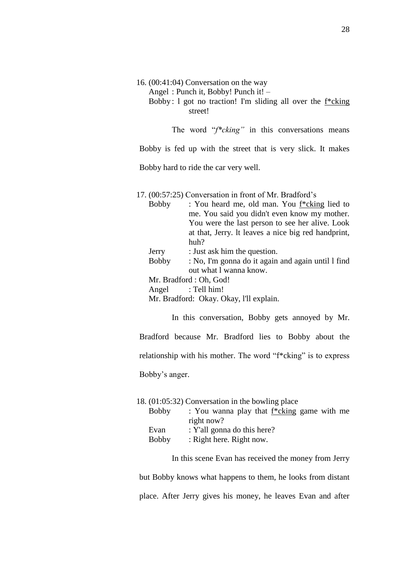16. (00:41:04) Conversation on the way

Angel : Punch it, Bobby! Punch it! –

Bobby: 1 got no traction! I'm sliding all over the  $f^*$ cking street!

The word "f<sup>\*</sup>cking" in this conversations means

Bobby is fed up with the street that is very slick. It makes

Bobby hard to ride the car very well.

## 17. (00:57:25) Conversation in front of Mr. Bradford's

| <b>Bobby</b> | : You heard me, old man. You f*cking lied to        |
|--------------|-----------------------------------------------------|
|              | me. You said you didn't even know my mother.        |
|              | You were the last person to see her alive. Look     |
|              | at that, Jerry. It leaves a nice big red handprint, |
|              | huh?                                                |
| Jerry        | : Just ask him the question.                        |
| <b>Bobby</b> | : No, I'm gonna do it again and again until 1 find  |
|              | out what I wanna know.                              |
|              | Mr. Bradford: Oh, God!                              |
|              |                                                     |

Angel : Tell him!

Mr. Bradford: Okay. Okay, l'll explain.

In this conversation, Bobby gets annoyed by Mr. Bradford because Mr. Bradford lies to Bobby about the relationship with his mother. The word "f\*cking" is to express Bobby's anger.

|              | 18. (01:05:32) Conversation in the bowling place |
|--------------|--------------------------------------------------|
| <b>Bobby</b> | : You wanna play that $f * c$ king game with me  |
|              | right now?                                       |
| Evan         | : Y'all gonna do this here?                      |
| <b>Bobby</b> | : Right here. Right now.                         |

In this scene Evan has received the money from Jerry

but Bobby knows what happens to them, he looks from distant place. After Jerry gives his money, he leaves Evan and after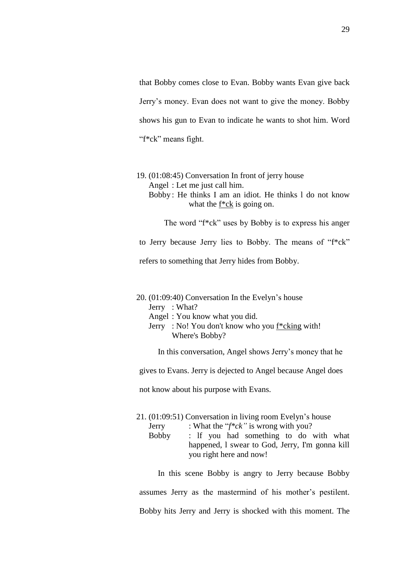that Bobby comes close to Evan. Bobby wants Evan give back Jerry's money. Evan does not want to give the money. Bobby shows his gun to Evan to indicate he wants to shot him. Word "f\*ck" means fight.

19. (01:08:45) Conversation In front of jerry house Angel : Let me just call him. Bobby : He thinks I am an idiot. He thinks l do not know what the f\*ck is going on.

The word "f\*ck" uses by Bobby is to express his anger

to Jerry because Jerry lies to Bobby. The means of "f\*ck"

refers to something that Jerry hides from Bobby.

20. (01:09:40) Conversation In the Evelyn's house Jerry : What?

Angel : You know what you did.

Jerry : No! You don't know who you f\*cking with! Where's Bobby?

In this conversation, Angel shows Jerry's money that he

gives to Evans. Jerry is dejected to Angel because Angel does

not know about his purpose with Evans.

21. (01:09:51) Conversation in living room Evelyn's house

- Jerry : What the "*f\*ck"* is wrong with you?
- Bobby : lf you had something to do with what happened, l swear to God, Jerry, I'm gonna kill you right here and now!

In this scene Bobby is angry to Jerry because Bobby assumes Jerry as the mastermind of his mother's pestilent. Bobby hits Jerry and Jerry is shocked with this moment. The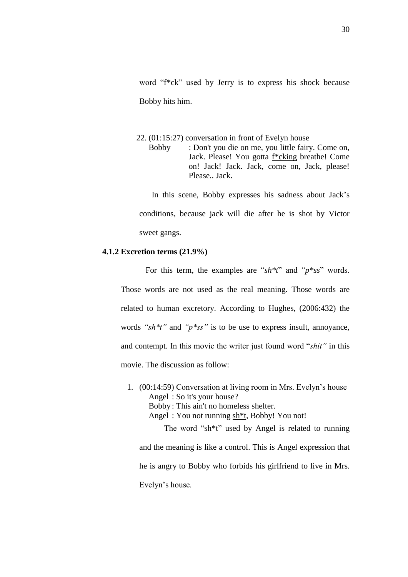word "f\*ck" used by Jerry is to express his shock because Bobby hits him.

22. (01:15:27) conversation in front of Evelyn house Bobby : Don't you die on me, you little fairy. Come on, Jack. Please! You gotta f\*cking breathe! Come on! Jack! Jack. Jack, come on, Jack, please! Please.. Jack.

In this scene, Bobby expresses his sadness about Jack's conditions, because jack will die after he is shot by Victor sweet gangs.

### **4.1.2 Excretion terms (21.9%)**

For this term, the examples are "*sh\*t*" and "*p\*ss*" words. Those words are not used as the real meaning. Those words are related to human excretory. According to Hughes, (2006:432) the words *"sh\*t"* and *"p\*ss"* is to be use to express insult, annoyance, and contempt. In this movie the writer just found word "*shit"* in this movie. The discussion as follow:

1. (00:14:59) Conversation at living room in Mrs. Evelyn's house Angel : So it's your house? Bobby : This ain't no homeless shelter. Angel : You not running sh\*t, Bobby! You not! The word "sh\*t" used by Angel is related to running and the meaning is like a control. This is Angel expression that he is angry to Bobby who forbids his girlfriend to live in Mrs.

Evelyn's house.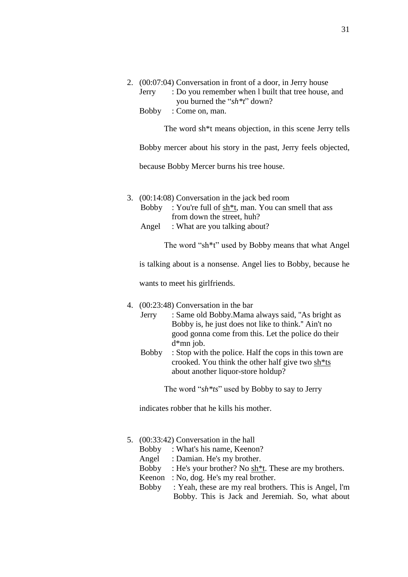|  | 2. (00:07:04) Conversation in front of a door, in Jerry house |
|--|---------------------------------------------------------------|
|  | Jerry : Do you remember when I built that tree house, and     |
|  | you burned the " $sh*t"$ " down?                              |
|  | Bobby: Come on, man.                                          |

The word sh\*t means objection, in this scene Jerry tells

Bobby mercer about his story in the past, Jerry feels objected,

because Bobby Mercer burns his tree house.

- 3. (00:14:08) Conversation in the jack bed room
	- Bobby : You're full of sh\*t, man. You can smell that ass from down the street, huh?
	- Angel : What are you talking about?

The word "sh\*t" used by Bobby means that what Angel

is talking about is a nonsense. Angel lies to Bobby, because he

wants to meet his girlfriends.

- 4. (00:23:48) Conversation in the bar
	- Jerry : Same old Bobby.Mama always said, ''As bright as Bobby is, he just does not like to think.'' Ain't no good gonna come from this. Let the police do their d\*mn job.
	- Bobby : Stop with the police. Half the cops in this town are crooked. You think the other half give two sh\*ts about another liquor-store holdup?

The word "*sh\*ts*" used by Bobby to say to Jerry

indicates robber that he kills his mother.

# 5. (00:33:42) Conversation in the hall

- Bobby : What's his name, Keenon?
- Angel : Damian. He's my brother.
- Bobby : He's your brother? No sh\*t. These are my brothers.
- Keenon : No, dog. He's my real brother.
- Bobby : Yeah, these are my real brothers. This is Angel, l'm Bobby. This is Jack and Jeremiah. So, what about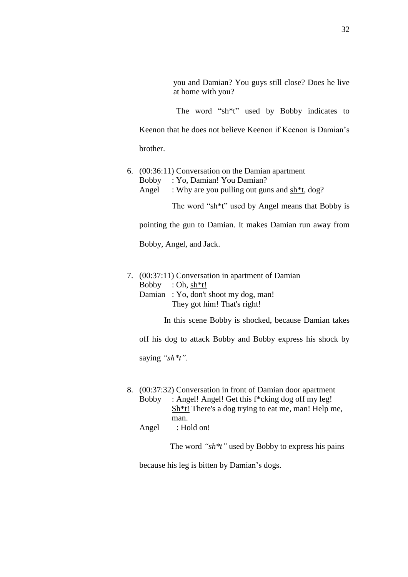you and Damian? You guys still close? Does he live at home with you?

The word "sh\*t" used by Bobby indicates to

Keenon that he does not believe Keenon if Keenon is Damian's

brother.

6. (00:36:11) Conversation on the Damian apartment Bobby : Yo, Damian! You Damian? Angel : Why are you pulling out guns and sh<sup>\*t</sup>, dog?

The word "sh\*t" used by Angel means that Bobby is

pointing the gun to Damian. It makes Damian run away from

Bobby, Angel, and Jack.

7. (00:37:11) Conversation in apartment of Damian Bobby : Oh, sh\*t! Damian : Yo, don't shoot my dog, man! They got him! That's right!

In this scene Bobby is shocked, because Damian takes

off his dog to attack Bobby and Bobby express his shock by

saying *"sh\*t".*

- 8. (00:37:32) Conversation in front of Damian door apartment Bobby : Angel! Angel! Get this f\*cking dog off my leg! Sh\*t! There's a dog trying to eat me, man! Help me, man.
	- Angel : Hold on!

The word *"sh\*t"* used by Bobby to express his pains

because his leg is bitten by Damian's dogs.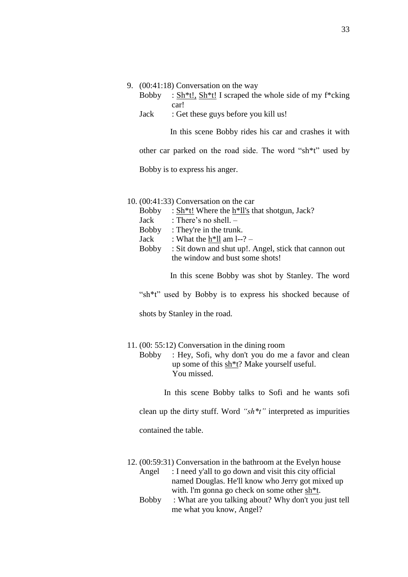#### 9. (00:41:18) Conversation on the way

- Bobby : Sh<sup>\*</sup>t!, Sh<sup>\*</sup>t! I scraped the whole side of my f<sup>\*</sup>cking car!
- Jack : Get these guys before you kill us!

In this scene Bobby rides his car and crashes it with

other car parked on the road side. The word "sh\*t" used by

Bobby is to express his anger.

#### 10. (00:41:33) Conversation on the car

Bobby : Sh\*t! Where the h\*ll's that shotgun, Jack?

Jack : There's no shell. –

Bobby : They're in the trunk.

- Jack : What the  $h*ll$  am  $l-?$  –
- Bobby : Sit down and shut up!. Angel, stick that cannon out the window and bust some shots!

In this scene Bobby was shot by Stanley. The word

"sh\*t" used by Bobby is to express his shocked because of

shots by Stanley in the road.

#### 11. (00: 55:12) Conversation in the dining room

Bobby : Hey, Sofi, why don't you do me a favor and clean up some of this sh\*t? Make yourself useful. You missed.

In this scene Bobby talks to Sofi and he wants sofi

clean up the dirty stuff. Word *"sh\*t"* interpreted as impurities

contained the table.

- 12. (00:59:31) Conversation in the bathroom at the Evelyn house
	- Angel : I need y'all to go down and visit this city official named Douglas. He'll know who Jerry got mixed up with. l'm gonna go check on some other sh\*t.
	- Bobby : What are you talking about? Why don't you just tell me what you know, Angel?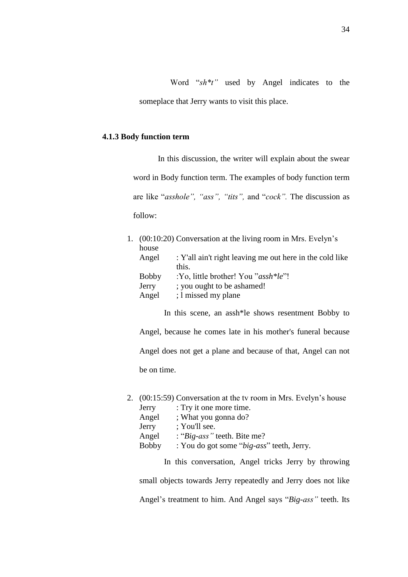Word "*sh\*t"* used by Angel indicates to the someplace that Jerry wants to visit this place.

### **4.1.3 Body function term**

In this discussion, the writer will explain about the swear word in Body function term. The examples of body function term are like "*asshole", "ass", "tits",* and "*cock".* The discussion as follow:

|              | 1. (00:10:20) Conversation at the living room in Mrs. Evelyn's |
|--------------|----------------------------------------------------------------|
| house        |                                                                |
| Angel        | : Y'all ain't right leaving me out here in the cold like       |
|              | this.                                                          |
| <b>Bobby</b> | :Yo, little brother! You "assh*le"!                            |
| Jerry        | ; you ought to be ashamed!                                     |
| Angel        | ; 1 missed my plane                                            |
|              |                                                                |

In this scene, an assh\*le shows resentment Bobby to

Angel, because he comes late in his mother's funeral because Angel does not get a plane and because of that, Angel can not be on time.

2. (00:15:59) Conversation at the tv room in Mrs. Evelyn's house Jerry : Try it one more time. Angel ; What you gonna do? Jerry ; You'll see. Angel : "*Big-ass"* teeth. Bite me? Bobby : You do got some "*big-ass*" teeth, Jerry.

In this conversation, Angel tricks Jerry by throwing

small objects towards Jerry repeatedly and Jerry does not like Angel's treatment to him. And Angel says "*Big-ass"* teeth. Its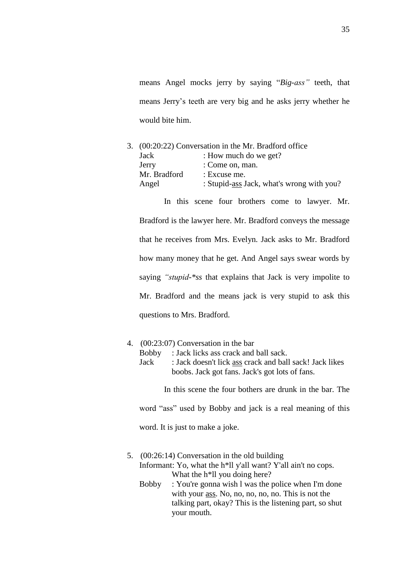means Angel mocks jerry by saying "*Big-ass"* teeth, that means Jerry's teeth are very big and he asks jerry whether he would bite him.

3. (00:20:22) Conversation in the Mr. Bradford office Jack : How much do we get? Jerry : Come on, man. Mr. Bradford : Excuse me. Angel : Stupid-ass Jack, what's wrong with you?

In this scene four brothers come to lawyer. Mr. Bradford is the lawyer here. Mr. Bradford conveys the message that he receives from Mrs. Evelyn. Jack asks to Mr. Bradford how many money that he get. And Angel says swear words by saying *"stupid-\*ss* that explains that Jack is very impolite to Mr. Bradford and the means jack is very stupid to ask this questions to Mrs. Bradford.

# 4. (00:23:07) Conversation in the bar

- Bobby : Jack licks ass crack and ball sack.
- Jack : Jack doesn't lick ass crack and ball sack! Jack likes boobs. Jack got fans. Jack's got lots of fans.

In this scene the four bothers are drunk in the bar. The

word "ass" used by Bobby and jack is a real meaning of this

word. It is just to make a joke.

- 5. (00:26:14) Conversation in the old building Informant: Yo, what the h<sup>\*</sup>ll y'all want? Y'all ain't no cops. What the h<sup>\*</sup>ll you doing here?
	- Bobby : You're gonna wish l was the police when I'm done with your ass. No, no, no, no, no. This is not the talking part, okay? This is the listening part, so shut your mouth.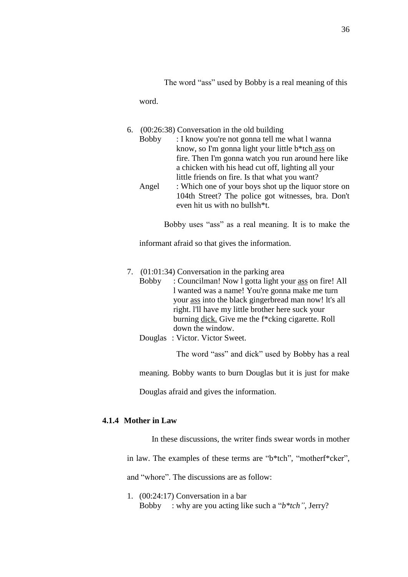The word "ass" used by Bobby is a real meaning of this

word.

|  | 6. $(00:26:38)$ Conversation in the old building     |
|--|------------------------------------------------------|
|  | Bobby : I know you're not gonna tell me what I wanna |
|  | know, so I'm gonna light your little b*tch ass on    |

fire. Then I'm gonna watch you run around here like a chicken with his head cut off, lighting all your little friends on fire. Is that what you want? Angel : Which one of your boys shot up the liquor store on 104th Street? The police got witnesses, bra. Don't even hit us with no bullsh\*t.

Bobby uses "ass" as a real meaning. It is to make the

informant afraid so that gives the information.

- 7. (01:01:34) Conversation in the parking area
	- Bobby : Councilman! Now l gotta light your ass on fire! All l wanted was a name! You're gonna make me turn your ass into the black gingerbread man now! lt's all right. l'll have my little brother here suck your burning dick. Give me the f\*cking cigarette. Roll down the window.
	- Douglas : Victor. Victor Sweet.

The word "ass" and dick" used by Bobby has a real

meaning. Bobby wants to burn Douglas but it is just for make

Douglas afraid and gives the information.

# **4.1.4 Mother in Law**

In these discussions, the writer finds swear words in mother

in law. The examples of these terms are "b\*tch", "motherf\*cker",

and "whore". The discussions are as follow:

1. (00:24:17) Conversation in a bar Bobby : why are you acting like such a "*b\*tch"*, Jerry?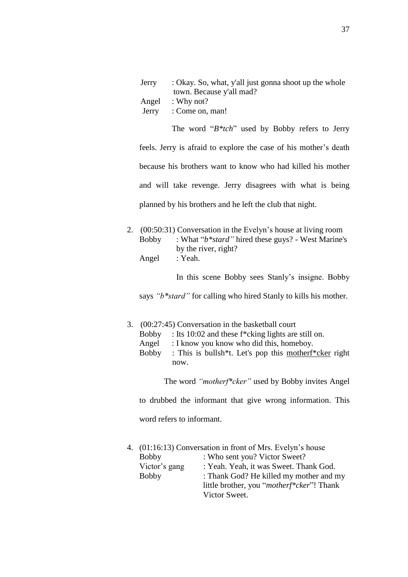| Jerry : Okay. So, what, y'all just gonna shoot up the whole |
|-------------------------------------------------------------|
| town. Because y'all mad?                                    |
| Angel : Why not?                                            |
| Jerry : Come on, man!                                       |
|                                                             |

The word "*B\*tch*" used by Bobby refers to Jerry feels. Jerry is afraid to explore the case of his mother's death because his brothers want to know who had killed his mother and will take revenge. Jerry disagrees with what is being planned by his brothers and he left the club that night.

2. (00:50:31) Conversation in the Evelyn's house at living room Bobby : What "*b\*stard"* hired these guys? - West Marine's by the river, right? Angel : Yeah.

In this scene Bobby sees Stanly's insigne. Bobby

says *"b\*stard"* for calling who hired Stanly to kills his mother.

- 3. (00:27:45) Conversation in the basketball court
	- Bobby : Its 10:02 and these f\*cking lights are still on.
	- Angel : I know you know who did this, homeboy.
	- Bobby : This is bullsh\*t. Let's pop this motherf\*cker right now.

The word *"motherf\*cker"* used by Bobby invites Angel

to drubbed the informant that give wrong information. This

word refers to informant.

|               | 4. (01:16:13) Conversation in front of Mrs. Evelyn's house |
|---------------|------------------------------------------------------------|
| <b>Bobby</b>  | : Who sent you? Victor Sweet?                              |
| Victor's gang | : Yeah. Yeah, it was Sweet. Thank God.                     |
| <b>Bobby</b>  | : Thank God? He killed my mother and my                    |
|               | little brother, you " <i>motherf*cker</i> "! Thank         |
|               | Victor Sweet.                                              |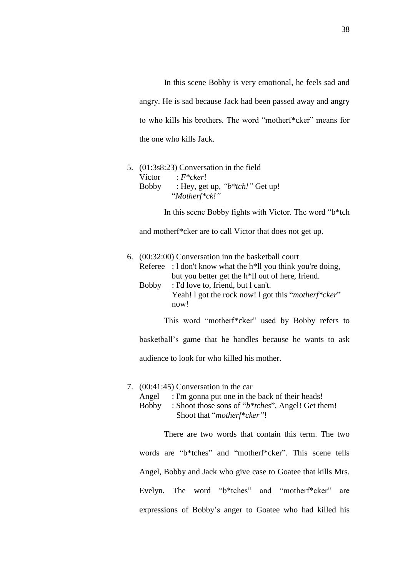In this scene Bobby is very emotional, he feels sad and angry. He is sad because Jack had been passed away and angry to who kills his brothers. The word "motherf\*cker" means for the one who kills Jack.

# 5. (01:3s8:23) Conversation in the field Victor : *F\*cker*! Bobby : Hey, get up, *"b\*tch!"* Get up! "*Motherf\*ck!"*

In this scene Bobby fights with Victor. The word "b\*tch

and motherf\*cker are to call Victor that does not get up.

# 6. (00:32:00) Conversation inn the basketball court Referee :  $1$  don't know what the h<sup>\*</sup>ll you think you're doing, but you better get the h\*ll out of here, friend. Bobby : I'd love to, friend, but l can't. Yeah! l got the rock now! l got this "*motherf\*cker*" now! This word "motherf\*cker" used by Bobby refers to basketball's game that he handles because he wants to ask

audience to look for who killed his mother.

#### 7. (00:41:45) Conversation in the car

- Angel : I'm gonna put one in the back of their heads!
- Bobby : Shoot those sons of "*b\*tches*", Angel! Get them! Shoot that "*motherf\*cker"*!

There are two words that contain this term. The two words are "b\*tches" and "motherf\*cker". This scene tells Angel, Bobby and Jack who give case to Goatee that kills Mrs. Evelyn. The word "b\*tches" and "motherf\*cker" are expressions of Bobby's anger to Goatee who had killed his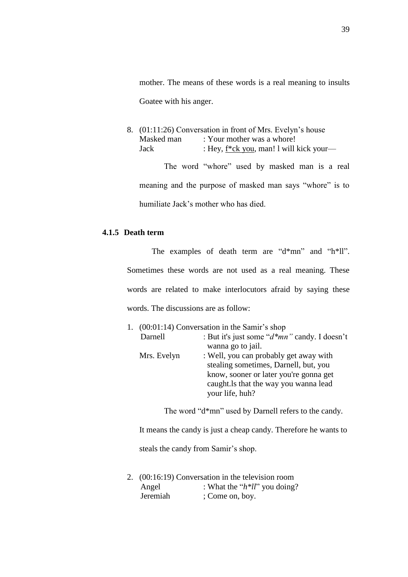mother. The means of these words is a real meaning to insults Goatee with his anger.

8. (01:11:26) Conversation in front of Mrs. Evelyn's house Masked man : Your mother was a whore! Jack : Hey, f\*ck you, man! l will kick your—

The word "whore" used by masked man is a real meaning and the purpose of masked man says "whore" is to humiliate Jack's mother who has died.

## **4.1.5 Death term**

The examples of death term are "d\*mn" and "h\*ll". Sometimes these words are not used as a real meaning. These words are related to make interlocutors afraid by saying these words. The discussions are as follow:

|  |             | 1. $(00:01:14)$ Conversation in the Samir's shop |
|--|-------------|--------------------------------------------------|
|  | Darnell     | : But it's just some "d*mn" candy. I doesn't     |
|  |             | wanna go to jail.                                |
|  | Mrs. Evelyn | : Well, you can probably get away with           |
|  |             | stealing sometimes, Darnell, but, you            |
|  |             | know, sooner or later you're gonna get           |
|  |             | caught. Is that the way you wanna lead           |
|  |             | your life, huh?                                  |
|  |             |                                                  |

The word "d\*mn" used by Darnell refers to the candy.

It means the candy is just a cheap candy. Therefore he wants to

steals the candy from Samir's shop.

2. (00:16:19) Conversation in the television room Angel : What the " $h*ll$ " you doing? Jeremiah ; Come on, boy.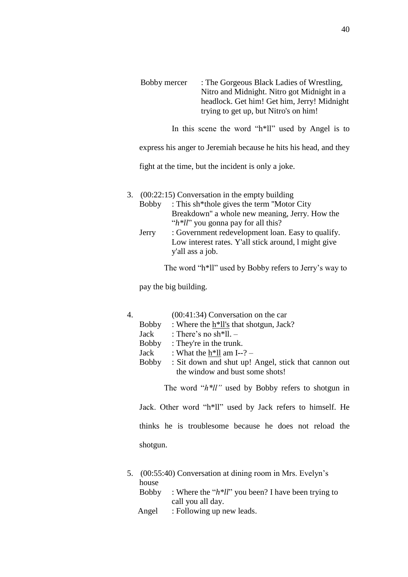| Bobby mercer | : The Gorgeous Black Ladies of Wrestling,   |
|--------------|---------------------------------------------|
|              | Nitro and Midnight. Nitro got Midnight in a |
|              | headlock. Get him! Get him, Jerry! Midnight |
|              | trying to get up, but Nitro's on him!       |

In this scene the word "h\*ll" used by Angel is to

express his anger to Jeremiah because he hits his head, and they

fight at the time, but the incident is only a joke.

- 3. (00:22:15) Conversation in the empty building
	- Bobby : This sh\*thole gives the term ''Motor City Breakdown'' a whole new meaning, Jerry. How the "*h\*ll*" you gonna pay for all this?
	- Jerry : Government redevelopment loan. Easy to qualify. Low interest rates. Y'all stick around, l might give y'all ass a job.

The word "h\*ll" used by Bobby refers to Jerry's way to

pay the big building.

| 4. | $(00:41:34)$ Conversation on the car |
|----|--------------------------------------|
|----|--------------------------------------|

- Bobby : Where the h\*ll's that shotgun, Jack?
- Jack : There's no sh\*ll. –
- Bobby : They're in the trunk.
- Jack : What the  $h*ll$  am I--? –
- Bobby : Sit down and shut up! Angel, stick that cannon out the window and bust some shots!

The word "*h\*ll"* used by Bobby refers to shotgun in

Jack. Other word "h\*ll" used by Jack refers to himself. He thinks he is troublesome because he does not reload the shotgun.

- 5. (00:55:40) Conversation at dining room in Mrs. Evelyn's house
	- Bobby : Where the "*h\*ll*" you been? I have been trying to call you all day.
	- Angel : Following up new leads.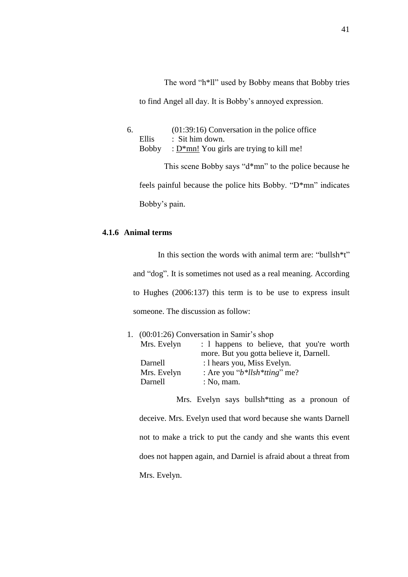The word "h\*ll" used by Bobby means that Bobby tries to find Angel all day. It is Bobby's annoyed expression.

6. (01:39:16) Conversation in the police office Ellis : Sit him down. Bobby :  $D^*$ mn! You girls are trying to kill me!

This scene Bobby says "d\*mn" to the police because he feels painful because the police hits Bobby. "D\*mn" indicates Bobby's pain.

# **4.1.6 Animal terms**

In this section the words with animal term are: "bullsh\*t" and "dog". It is sometimes not used as a real meaning. According to Hughes (2006:137) this term is to be use to express insult someone. The discussion as follow:

| 1. $(00:01:26)$ Conversation in Samir's shop |                                           |  |
|----------------------------------------------|-------------------------------------------|--|
| Mrs. Evelyn                                  | : 1 happens to believe, that you're worth |  |
|                                              | more. But you gotta believe it, Darnell.  |  |
| Darnell                                      | : 1 hears you, Miss Evelyn.               |  |
| Mrs. Evelyn                                  | : Are you " $b*llsh*ting"$ me?            |  |
| Darnell                                      | : $No$ , mam.                             |  |

Mrs. Evelyn says bullsh\*tting as a pronoun of deceive. Mrs. Evelyn used that word because she wants Darnell not to make a trick to put the candy and she wants this event does not happen again, and Darniel is afraid about a threat from Mrs. Evelyn.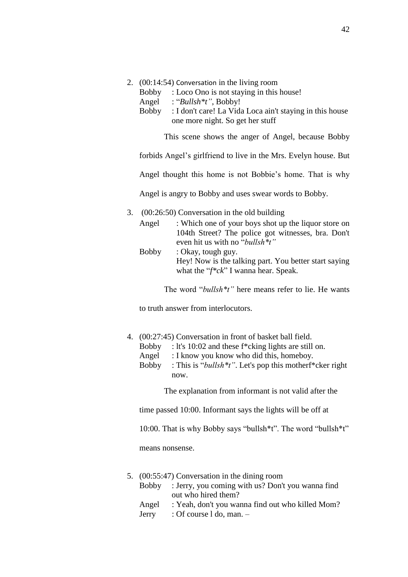- 2. (00:14:54) Conversation in the living room
	- Bobby : Loco Ono is not staying in this house!
	- Angel : "*Bullsh\*t"*, Bobby!
	- Bobby : I don't care! La Vida Loca ain't staying in this house one more night. So get her stuff

This scene shows the anger of Angel, because Bobby

forbids Angel's girlfriend to live in the Mrs. Evelyn house. But

Angel thought this home is not Bobbie's home. That is why

Angel is angry to Bobby and uses swear words to Bobby.

- 3. (00:26:50) Conversation in the old building
	- Angel : Which one of your boys shot up the liquor store on 104th Street? The police got witnesses, bra. Don't even hit us with no "*bullsh\*t"*
	- Bobby : Okay, tough guy. Hey! Now is the talking part. You better start saying what the "*f\*ck*" I wanna hear. Speak.

The word "*bullsh\*t"* here means refer to lie. He wants

to truth answer from interlocutors.

- 4. (00:27:45) Conversation in front of basket ball field.
	- Bobby : lt's 10:02 and these f\*cking lights are still on.
	- Angel : I know you know who did this, homeboy.
	- Bobby : This is "*bullsh\*t"*. Let's pop this motherf\*cker right now.

The explanation from informant is not valid after the

time passed 10:00. Informant says the lights will be off at

10:00. That is why Bobby says "bullsh\*t". The word "bullsh\*t"

means nonsense.

- 5. (00:55:47) Conversation in the dining room
	- Bobby : Jerry, you coming with us? Don't you wanna find out who hired them?
	- Angel : Yeah, don't you wanna find out who killed Mom?
	- Jerry : Of course l do, man. –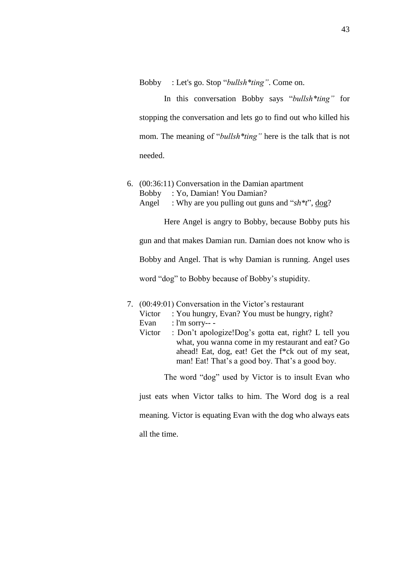Bobby : Let's go. Stop "*bullsh\*ting"*. Come on.

In this conversation Bobby says "*bullsh\*ting"* for stopping the conversation and lets go to find out who killed his mom. The meaning of "*bullsh\*ting"* here is the talk that is not needed.

6. (00:36:11) Conversation in the Damian apartment Bobby : Yo, Damian! You Damian? Angel : Why are you pulling out guns and "*sh\*t*", dog?

Here Angel is angry to Bobby, because Bobby puts his gun and that makes Damian run. Damian does not know who is Bobby and Angel. That is why Damian is running. Angel uses word "dog" to Bobby because of Bobby's stupidity.

- 7. (00:49:01) Conversation in the Victor's restaurant
	- Victor : You hungry, Evan? You must be hungry, right?
	- Evan : l'm sorry-- -
	- Victor : Don't apologize!Dog's gotta eat, right? L tell you what, you wanna come in my restaurant and eat? Go ahead! Eat, dog, eat! Get the f\*ck out of my seat, man! Eat! That's a good boy. That's a good boy.

The word "dog" used by Victor is to insult Evan who

just eats when Victor talks to him. The Word dog is a real

meaning. Victor is equating Evan with the dog who always eats

all the time.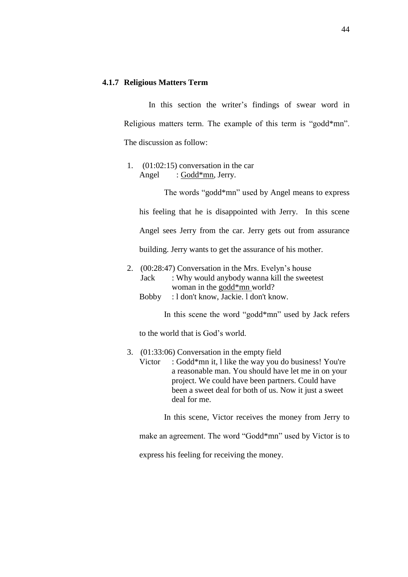### **4.1.7 Religious Matters Term**

In this section the writer's findings of swear word in Religious matters term. The example of this term is "godd\*mn". The discussion as follow:

1. (01:02:15) conversation in the car Angel : Godd\*mn, Jerry.

The words "godd\*mn" used by Angel means to express his feeling that he is disappointed with Jerry. In this scene Angel sees Jerry from the car. Jerry gets out from assurance building. Jerry wants to get the assurance of his mother.

- 2. (00:28:47) Conversation in the Mrs. Evelyn's house Jack : Why would anybody wanna kill the sweetest woman in the godd\*mn world?
	- Bobby : l don't know, Jackie. l don't know.

In this scene the word "godd\*mn" used by Jack refers

to the world that is God's world.

#### 3. (01:33:06) Conversation in the empty field

Victor : Godd\*mn it, l like the way you do business! You're a reasonable man. You should have let me in on your project. We could have been partners. Could have been a sweet deal for both of us. Now it just a sweet deal for me.

In this scene, Victor receives the money from Jerry to

make an agreement. The word "Godd\*mn" used by Victor is to

express his feeling for receiving the money.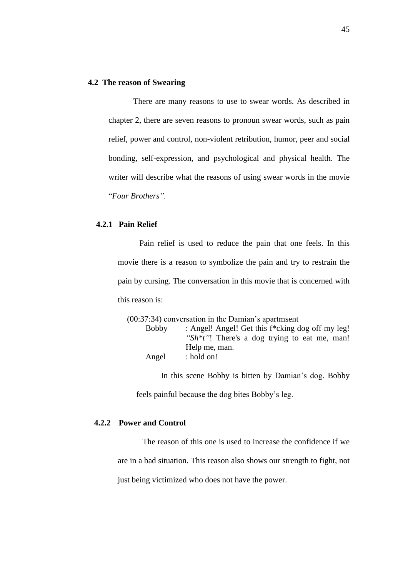# **4.2 The reason of Swearing**

There are many reasons to use to swear words. As described in chapter 2, there are seven reasons to pronoun swear words, such as pain relief, power and control, non-violent retribution, humor, peer and social bonding, self-expression, and psychological and physical health. The writer will describe what the reasons of using swear words in the movie "*Four Brothers".* 

# **4.2.1 Pain Relief**

Pain relief is used to reduce the pain that one feels. In this movie there is a reason to symbolize the pain and try to restrain the pain by cursing. The conversation in this movie that is concerned with this reason is:

|              | $(00:37:34)$ conversation in the Damian's apartment      |
|--------------|----------------------------------------------------------|
| <b>Bobby</b> | : Angel! Angel! Get this f*cking dog off my leg!         |
|              | "Sh <sup>*t"!</sup> There's a dog trying to eat me, man! |
|              | Help me, man.                                            |
| Angel        | : hold on!                                               |
|              |                                                          |

In this scene Bobby is bitten by Damian's dog. Bobby

feels painful because the dog bites Bobby's leg.

# **4.2.2 Power and Control**

The reason of this one is used to increase the confidence if we are in a bad situation. This reason also shows our strength to fight, not just being victimized who does not have the power.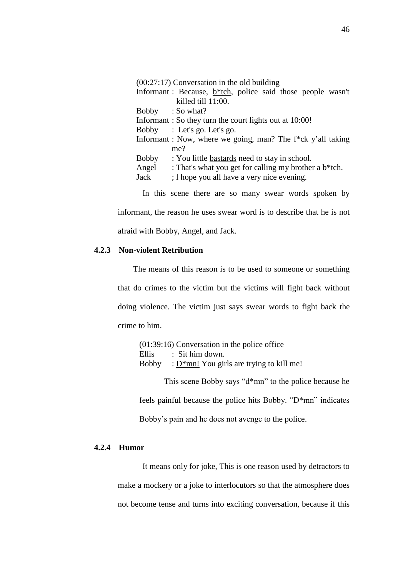(00:27:17) Conversation in the old building

|       | Informant: Because, $b^*$ tch, police said those people wasn't |
|-------|----------------------------------------------------------------|
|       | killed till 11:00.                                             |
|       | Bobby : So what?                                               |
|       | Informant: So they turn the court lights out at 10:00!         |
|       | Bobby : Let's go. Let's go.                                    |
|       | Informant : Now, where we going, man? The f*ck y'all taking    |
|       | me?                                                            |
| Bobby | : You little bastards need to stay in school.                  |
| Angel | : That's what you get for calling my brother a b*tch.          |

Jack ; l hope you all have a very nice evening.

In this scene there are so many swear words spoken by

informant, the reason he uses swear word is to describe that he is not afraid with Bobby, Angel, and Jack.

### **4.2.3 Non-violent Retribution**

The means of this reason is to be used to someone or something that do crimes to the victim but the victims will fight back without doing violence. The victim just says swear words to fight back the crime to him.

| $(01:39:16)$ Conversation in the police office |                                            |  |
|------------------------------------------------|--------------------------------------------|--|
| Ellis                                          | $\therefore$ Sit him down.                 |  |
| Bobby                                          | : $D*mn!$ You girls are trying to kill me! |  |

This scene Bobby says "d\*mn" to the police because he feels painful because the police hits Bobby. "D\*mn" indicates Bobby's pain and he does not avenge to the police.

# **4.2.4 Humor**

It means only for joke, This is one reason used by detractors to make a mockery or a joke to interlocutors so that the atmosphere does not become tense and turns into exciting conversation, because if this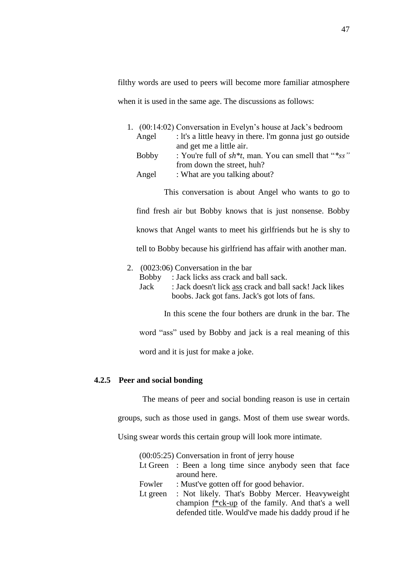filthy words are used to peers will become more familiar atmosphere when it is used in the same age. The discussions as follows:

|              | 1. (00:14:02) Conversation in Evelyn's house at Jack's bedroom |
|--------------|----------------------------------------------------------------|
| Angel        | : It's a little heavy in there. I'm gonna just go outside      |
|              | and get me a little air.                                       |
| <b>Bobby</b> | : You're full of $sh^*t$ , man. You can smell that " $*ss$ "   |
|              | from down the street, huh?                                     |
| Angel        | : What are you talking about?                                  |
|              |                                                                |

find fresh air but Bobby knows that is just nonsense. Bobby knows that Angel wants to meet his girlfriends but he is shy to tell to Bobby because his girlfriend has affair with another man.

This conversation is about Angel who wants to go to

# 2. (0023:06) Conversation in the bar

Jack : Jack doesn't lick ass crack and ball sack! Jack likes boobs. Jack got fans. Jack's got lots of fans.

In this scene the four bothers are drunk in the bar. The

word "ass" used by Bobby and jack is a real meaning of this

word and it is just for make a joke.

# **4.2.5 Peer and social bonding**

The means of peer and social bonding reason is use in certain

groups, such as those used in gangs. Most of them use swear words.

Using swear words this certain group will look more intimate.

|          | $(00:05:25)$ Conversation in front of jerry house        |
|----------|----------------------------------------------------------|
|          | Lt Green : Been a long time since anybody seen that face |
|          | around here.                                             |
| Fowler   | : Must've gotten off for good behavior.                  |
| Lt green | : Not likely. That's Bobby Mercer. Heavyweight           |
|          | champion f*ck-up of the family. And that's a well        |
|          | defended title. Would've made his daddy proud if he      |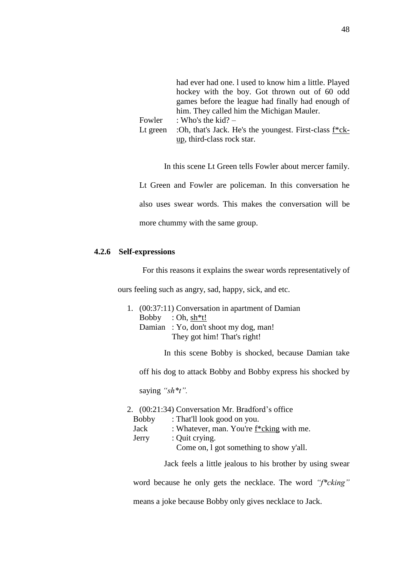|          | had ever had one. I used to know him a little. Played               |
|----------|---------------------------------------------------------------------|
|          | hockey with the boy. Got thrown out of 60 odd                       |
|          | games before the league had finally had enough of                   |
|          | him. They called him the Michigan Mauler.                           |
| Fowler   | : Who's the kid? $-$                                                |
| Lt green | :Oh, that's Jack. He's the youngest. First-class f <sup>*</sup> ck- |
|          | up, third-class rock star.                                          |

In this scene Lt Green tells Fowler about mercer family. Lt Green and Fowler are policeman. In this conversation he also uses swear words. This makes the conversation will be more chummy with the same group.

## **4.2.6 Self-expressions**

For this reasons it explains the swear words representatively of

ours feeling such as angry, sad, happy, sick, and etc.

- 1. (00:37:11) Conversation in apartment of Damian Bobby : Oh,  $sh*t!$ Damian : Yo, don't shoot my dog, man! They got him! That's right!
	- In this scene Bobby is shocked, because Damian take

off his dog to attack Bobby and Bobby express his shocked by

saying *"sh\*t".*

#### 2. (00:21:34) Conversation Mr. Bradford's office

| <b>Bobby</b> | : That'll look good on you.              |
|--------------|------------------------------------------|
| Jack         | : Whatever, man. You're f*cking with me. |
| Jerry        | : Quit crying.                           |
|              | Come on, 1 got something to show y'all.  |

Jack feels a little jealous to his brother by using swear

word because he only gets the necklace. The word *"f\*cking"* means a joke because Bobby only gives necklace to Jack.